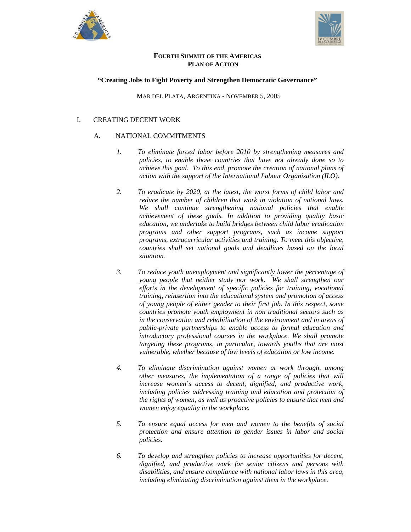



# **FOURTH SUMMIT OF THE AMERICAS PLAN OF ACTION**

## **"Creating Jobs to Fight Poverty and Strengthen Democratic Governance"**

MAR DEL PLATA, ARGENTINA - NOVEMBER 5, 2005

# I. CREATING DECENT WORK

- *1. To eliminate forced labor before 2010 by strengthening measures and policies, to enable those countries that have not already done so to achieve this goal. To this end, promote the creation of national plans of action with the support of the International Labour Organization (ILO).*
- *2. To eradicate by 2020, at the latest, the worst forms of child labor and reduce the number of children that work in violation of national laws. We shall continue strengthening national policies that enable achievement of these goals. In addition to providing quality basic education, we undertake to build bridges between child labor eradication programs and other support programs, such as income support programs, extracurricular activities and training. To meet this objective, countries shall set national goals and deadlines based on the local situation.*
- *3. To reduce youth unemployment and significantly lower the percentage of young people that neither study nor work. We shall strengthen our efforts in the development of specific policies for training, vocational training, reinsertion into the educational system and promotion of access of young people of either gender to their first job. In this respect, some countries promote youth employment in non traditional sectors such as in the conservation and rehabilitation of the environment and in areas of public-private partnerships to enable access to formal education and introductory professional courses in the workplace. We shall promote targeting these programs, in particular, towards youths that are most vulnerable, whether because of low levels of education or low income.*
- *4. To eliminate discrimination against women at work through, among other measures, the implementation of a range of policies that will increase women's access to decent, dignified, and productive work, including policies addressing training and education and protection of the rights of women, as well as proactive policies to ensure that men and women enjoy equality in the workplace.*
- *5. To ensure equal access for men and women to the benefits of social protection and ensure attention to gender issues in labor and social policies.*
- *6. To develop and strengthen policies to increase opportunities for decent, dignified, and productive work for senior citizens and persons with disabilities, and ensure compliance with national labor laws in this area, including eliminating discrimination against them in the workplace.*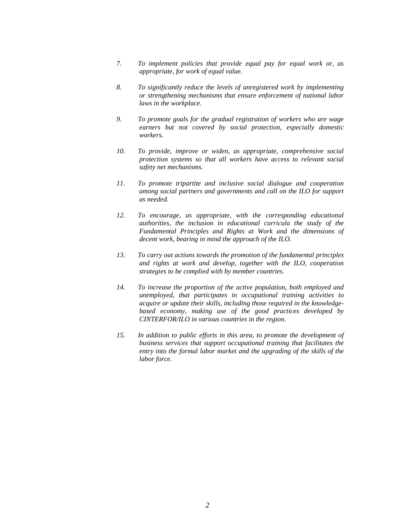- *7. To implement policies that provide equal pay for equal work or, as appropriate, for work of equal value.*
- *8. To significantly reduce the levels of unregistered work by implementing or strengthening mechanisms that ensure enforcement of national labor laws in the workplace.*
- *9. To promote goals for the gradual registration of workers who are wage earners but not covered by social protection, especially domestic workers.*
- *10. To provide, improve or widen, as appropriate, comprehensive social protection systems so that all workers have access to relevant social safety net mechanisms.*
- *11. To promote tripartite and inclusive social dialogue and cooperation among social partners and governments and call on the ILO for support as needed.*
- *12. To encourage, as appropriate, with the corresponding educational authorities, the inclusion in educational curricula the study of the Fundamental Principles and Rights at Work and the dimensions of decent work, bearing in mind the approach of the ILO.*
- *13. To carry out actions towards the promotion of the fundamental principles and rights at work and develop, together with the ILO, cooperation strategies to be complied with by member countries.*
- *14. To increase the proportion of the active population, both employed and unemployed, that participates in occupational training activities to acquire or update their skills, including those required in the knowledgebased economy, making use of the good practices developed by CINTERFOR/ILO in various countries in the region.*
- *15. In addition to public efforts in this area, to promote the development of business services that support occupational training that facilitates the entry into the formal labor market and the upgrading of the skills of the labor force.*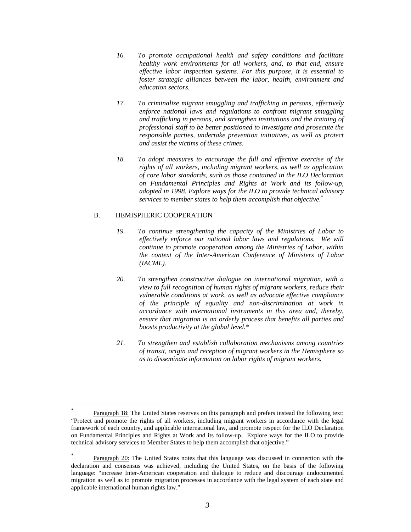- *16. To promote occupational health and safety conditions and facilitate healthy work environments for all workers, and, to that end, ensure effective labor inspection systems. For this purpose, it is essential to foster strategic alliances between the labor, health, environment and education sectors.*
- *17. To criminalize migrant smuggling and trafficking in persons, effectively enforce national laws and regulations to confront migrant smuggling and trafficking in persons, and strengthen institutions and the training of professional staff to be better positioned to investigate and prosecute the responsible parties, undertake prevention initiatives, as well as protect and assist the victims of these crimes.*
- *18. To adopt measures to encourage the full and effective exercise of the rights of all workers, including migrant workers, as well as application of core labor standards, such as those contained in the ILO Declaration on Fundamental Principles and Rights at Work and its follow-up, adopted in 1998. Explore ways for the ILO to provide technical advisory services to member states to help them accomplish that objective.\**

### B. HEMISPHERIC COOPERATION

l

- *19. To continue strengthening the capacity of the Ministries of Labor to effectively enforce our national labor laws and regulations. We will continue to promote cooperation among the Ministries of Labor, within the context of the Inter-American Conference of Ministers of Labor (IACML).*
- *20. To strengthen constructive dialogue on international migration, with a view to full recognition of human rights of migrant workers, reduce their vulnerable conditions at work, as well as advocate effective compliance of the principle of equality and non-discrimination at work in accordance with international instruments in this area and, thereby, ensure that migration is an orderly process that benefits all parties and boosts productivity at the global level.\*†*
- *21. To strengthen and establish collaboration mechanisms among countries of transit, origin and reception of migrant workers in the Hemisphere so as to disseminate information on labor rights of migrant workers.*

<sup>\*</sup> Paragraph 18: The United States reserves on this paragraph and prefers instead the following text: "Protect and promote the rights of all workers, including migrant workers in accordance with the legal framework of each country, and applicable international law, and promote respect for the ILO Declaration on Fundamental Principles and Rights at Work and its follow-up. Explore ways for the ILO to provide technical advisory services to Member States to help them accomplish that objective."

<sup>\*</sup> Paragraph 20: The United States notes that this language was discussed in connection with the declaration and consensus was achieved, including the United States, on the basis of the following language: "increase Inter-American cooperation and dialogue to reduce and discourage undocumented migration as well as to promote migration processes in accordance with the legal system of each state and applicable international human rights law."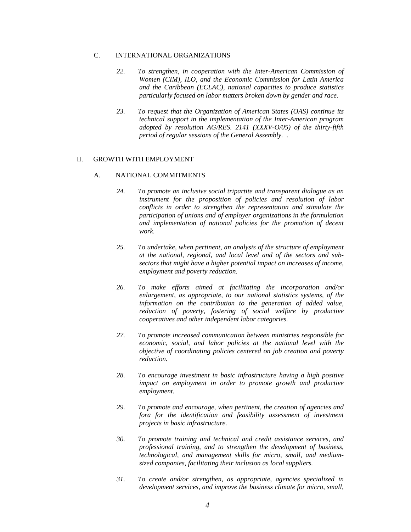- *22. To strengthen, in cooperation with the Inter-American Commission of Women (CIM), ILO, and the Economic Commission for Latin America and the Caribbean (ECLAC), national capacities to produce statistics particularly focused on labor matters broken down by gender and race.*
- *23. To request that the Organization of American States (OAS) continue its technical support in the implementation of the Inter-American program adopted by resolution AG/RES. 2141 (XXXV-O/05) of the thirty-fifth period of regular sessions of the General Assembly. .*

#### II. GROWTH WITH EMPLOYMENT

- *24. To promote an inclusive social tripartite and transparent dialogue as an instrument for the proposition of policies and resolution of labor conflicts in order to strengthen the representation and stimulate the participation of unions and of employer organizations in the formulation and implementation of national policies for the promotion of decent work.*
- *25. To undertake, when pertinent, an analysis of the structure of employment at the national, regional, and local level and of the sectors and subsectors that might have a higher potential impact on increases of income, employment and poverty reduction.*
- *26. To make efforts aimed at facilitating the incorporation and/or enlargement, as appropriate, to our national statistics systems, of the information on the contribution to the generation of added value, reduction of poverty, fostering of social welfare by productive cooperatives and other independent labor categories.*
- *27. To promote increased communication between ministries responsible for economic, social, and labor policies at the national level with the objective of coordinating policies centered on job creation and poverty reduction.*
- *28. To encourage investment in basic infrastructure having a high positive impact on employment in order to promote growth and productive employment.*
- *29. To promote and encourage, when pertinent, the creation of agencies and fora for the identification and feasibility assessment of investment projects in basic infrastructure.*
- *30. To promote training and technical and credit assistance services, and professional training, and to strengthen the development of business, technological, and management skills for micro, small, and mediumsized companies, facilitating their inclusion as local suppliers.*
- *31. To create and/or strengthen, as appropriate, agencies specialized in development services, and improve the business climate for micro, small,*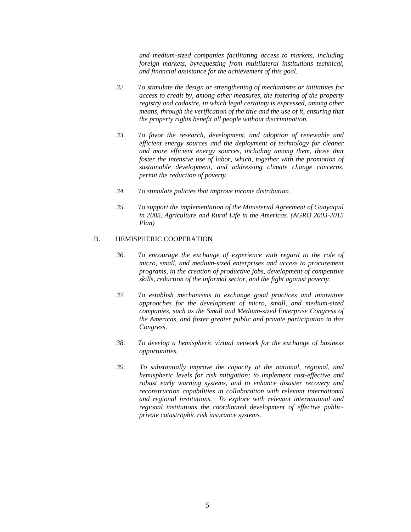*and medium-sized companies facilitating access to markets, including foreign markets, byrequesting from multilateral institutions technical, and financial assistance for the achievement of this goal.* 

- *32. To stimulate the design or strengthening of mechanisms or initiatives for access to credit by, among other measures, the fostering of the property registry and cadastre, in which legal certainty is expressed, among other means, through the verification of the title and the use of it, ensuring that the property rights benefit all people without discrimination.*
- *33. To favor the research, development, and adoption of renewable and efficient energy sources and the deployment of technology for cleaner and more efficient energy sources, including among them, those that foster the intensive use of labor, which, together with the promotion of sustainable development, and addressing climate change concerns, permit the reduction of poverty.*
- *34. To stimulate policies that improve income distribution.*
- *35. To support the implementation of the Ministerial Agreement of Guayaquil in 2005, Agriculture and Rural Life in the Americas. (AGRO 2003-2015 Plan)*

#### B. HEMISPHERIC COOPERATION

- *36. To encourage the exchange of experience with regard to the role of micro, small, and medium-sized enterprises and access to procurement programs, in the creation of productive jobs, development of competitive skills, reduction of the informal sector, and the fight against poverty.*
- *37. To establish mechanisms to exchange good practices and innovative approaches for the development of micro, small, and medium-sized companies, such as the Small and Medium-sized Enterprise Congress of the Americas, and foster greater public and private participation in this Congress.*
- *38. To develop a hemispheric virtual network for the exchange of business opportunities.*
- *39. To substantially improve the capacity at the national, regional, and hemispheric levels for risk mitigation; to implement cost-effective and robust early warning systems, and to enhance disaster recovery and reconstruction capabilities in collaboration with relevant international and regional institutions. To explore with relevant international and regional institutions the coordinated development of effective publicprivate catastrophic risk insurance systems.*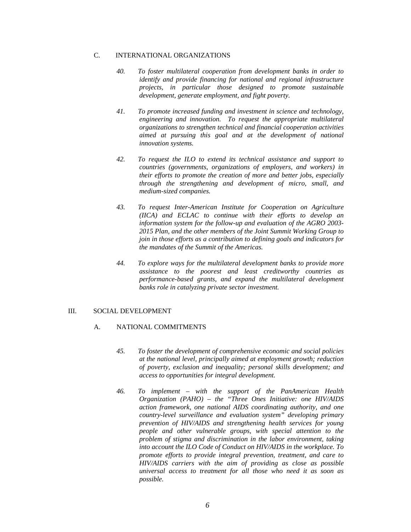- *40. To foster multilateral cooperation from development banks in order to identify and provide financing for national and regional infrastructure projects, in particular those designed to promote sustainable development, generate employment, and fight poverty.*
- *41. To promote increased funding and investment in science and technology, engineering and innovation. To request the appropriate multilateral organizations to strengthen technical and financial cooperation activities aimed at pursuing this goal and at the development of national innovation systems.*
- *42. To request the ILO to extend its technical assistance and support to countries (governments, organizations of employers, and workers) in their efforts to promote the creation of more and better jobs, especially through the strengthening and development of micro, small, and medium-sized companies.*
- *43. To request Inter-American Institute for Cooperation on Agriculture (IICA) and ECLAC to continue with their efforts to develop an information system for the follow-up and evaluation of the AGRO 2003- 2015 Plan, and the other members of the Joint Summit Working Group to join in those efforts as a contribution to defining goals and indicators for the mandates of the Summit of the Americas.*
- *44. To explore ways for the multilateral development banks to provide more assistance to the poorest and least creditworthy countries as performance-based grants, and expand the multilateral development banks role in catalyzing private sector investment.*

## III. SOCIAL DEVELOPMENT

- *45. To foster the development of comprehensive economic and social policies at the national level, principally aimed at employment growth; reduction of poverty, exclusion and inequality; personal skills development; and access to opportunities for integral development.*
- *46. To implement with the support of the PanAmerican Health Organization (PAHO) – the "Three Ones Initiative: one HIV/AIDS action framework, one national AIDS coordinating authority, and one country-level surveillance and evaluation system" developing primary prevention of HIV/AIDS and strengthening health services for young people and other vulnerable groups, with special attention to the problem of stigma and discrimination in the labor environment, taking into account the ILO Code of Conduct on HIV/AIDS in the workplace. To promote efforts to provide integral prevention, treatment, and care to HIV/AIDS carriers with the aim of providing as close as possible universal access to treatment for all those who need it as soon as possible.*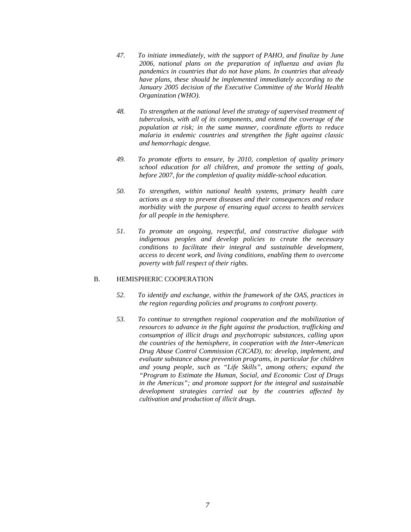- *47. To initiate immediately, with the support of PAHO, and finalize by June 2006, national plans on the preparation of influenza and avian flu pandemics in countries that do not have plans. In countries that already have plans, these should be implemented immediately according to the January 2005 decision of the Executive Committee of the World Health Organization (WHO).*
- *48. To strengthen at the national level the strategy of supervised treatment of tuberculosis, with all of its components, and extend the coverage of the population at risk; in the same manner, coordinate efforts to reduce malaria in endemic countries and strengthen the fight against classic and hemorrhagic dengue.*
- *49. To promote efforts to ensure, by 2010, completion of quality primary school education for all children, and promote the setting of goals, before 2007, for the completion of quality middle-school education.*
- *50. To strengthen, within national health systems, primary health care actions as a step to prevent diseases and their consequences and reduce morbidity with the purpose of ensuring equal access to health services for all people in the hemisphere.*
- *51. To promote an ongoing, respectful, and constructive dialogue with indigenous peoples and develop policies to create the necessary conditions to facilitate their integral and sustainable development, access to decent work, and living conditions, enabling them to overcome poverty with full respect of their rights.*

## B. HEMISPHERIC COOPERATION

- *52. To identify and exchange, within the framework of the OAS, practices in the region regarding policies and programs to confront poverty.*
- *53. To continue to strengthen regional cooperation and the mobilization of resources to advance in the fight against the production, trafficking and consumption of illicit drugs and psychotropic substances, calling upon the countries of the hemisphere, in cooperation with the Inter-American Drug Abuse Control Commission (CICAD), to: develop, implement, and evaluate substance abuse prevention programs, in particular for children and young people, such as "Life Skills", among others; expand the "Program to Estimate the Human, Social, and Economic Cost of Drugs in the Americas"; and promote support for the integral and sustainable development strategies carried out by the countries affected by cultivation and production of illicit drugs.*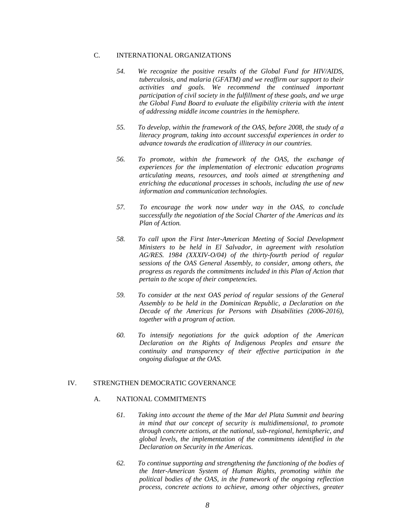- *54. We recognize the positive results of the Global Fund for HIV/AIDS, tuberculosis, and malaria (GFATM) and we reaffirm our support to their activities and goals. We recommend the continued important participation of civil society in the fulfillment of these goals, and we urge the Global Fund Board to evaluate the eligibility criteria with the intent of addressing middle income countries in the hemisphere.*
- *55. To develop, within the framework of the OAS, before 2008, the study of a literacy program, taking into account successful experiences in order to advance towards the eradication of illiteracy in our countries.*
- *56. To promote, within the framework of the OAS, the exchange of experiences for the implementation of electronic education programs articulating means, resources, and tools aimed at strengthening and enriching the educational processes in schools, including the use of new information and communication technologies.*
- *57. To encourage the work now under way in the OAS, to conclude successfully the negotiation of the Social Charter of the Americas and its Plan of Action.*
- *58. To call upon the First Inter-American Meeting of Social Development Ministers to be held in El Salvador, in agreement with resolution AG/RES. 1984 (XXXIV-O/04) of the thirty-fourth period of regular sessions of the OAS General Assembly, to consider, among others, the progress as regards the commitments included in this Plan of Action that pertain to the scope of their competencies.*
- *59. To consider at the next OAS period of regular sessions of the General Assembly to be held in the Dominican Republic, a Declaration on the Decade of the Americas for Persons with Disabilities (2006-2016), together with a program of action.*
- *60. To intensify negotiations for the quick adoption of the American Declaration on the Rights of Indigenous Peoples and ensure the continuity and transparency of their effective participation in the ongoing dialogue at the OAS.*

## IV. STRENGTHEN DEMOCRATIC GOVERNANCE

- *61. Taking into account the theme of the Mar del Plata Summit and bearing in mind that our concept of security is multidimensional, to promote through concrete actions, at the national, sub-regional, hemispheric, and global levels, the implementation of the commitments identified in the Declaration on Security in the Americas.*
- *62. To continue supporting and strengthening the functioning of the bodies of the Inter-American System of Human Rights, promoting within the political bodies of the OAS, in the framework of the ongoing reflection process, concrete actions to achieve, among other objectives, greater*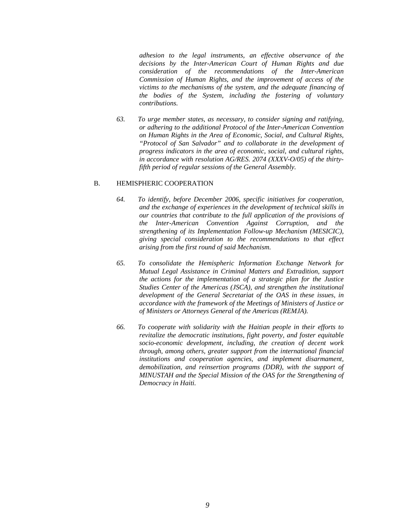*adhesion to the legal instruments, an effective observance of the decisions by the Inter-American Court of Human Rights and due consideration of the recommendations of the Inter-American Commission of Human Rights, and the improvement of access of the victims to the mechanisms of the system, and the adequate financing of the bodies of the System, including the fostering of voluntary contributions.* 

*63. To urge member states, as necessary, to consider signing and ratifying, or adhering to the additional Protocol of the Inter-American Convention on Human Rights in the Area of Economic, Social, and Cultural Rights, "Protocol of San Salvador" and to collaborate in the development of progress indicators in the area of economic, social, and cultural rights, in accordance with resolution AG/RES. 2074 (XXXV-O/05) of the thirtyfifth period of regular sessions of the General Assembly.* 

### B. HEMISPHERIC COOPERATION

- *64. To identify, before December 2006, specific initiatives for cooperation, and the exchange of experiences in the development of technical skills in our countries that contribute to the full application of the provisions of the Inter-American Convention Against Corruption, and the strengthening of its Implementation Follow-up Mechanism (MESICIC), giving special consideration to the recommendations to that effect arising from the first round of said Mechanism.*
- *65. To consolidate the Hemispheric Information Exchange Network for Mutual Legal Assistance in Criminal Matters and Extradition, support the actions for the implementation of a strategic plan for the Justice Studies Center of the Americas (JSCA), and strengthen the institutional development of the General Secretariat of the OAS in these issues, in accordance with the framework of the Meetings of Ministers of Justice or of Ministers or Attorneys General of the Americas (REMJA).*
- *66. To cooperate with solidarity with the Haitian people in their efforts to revitalize the democratic institutions, fight poverty, and foster equitable socio-economic development, including, the creation of decent work through, among others, greater support from the international financial institutions and cooperation agencies, and implement disarmament, demobilization, and reinsertion programs (DDR), with the support of MINUSTAH and the Special Mission of the OAS for the Strengthening of Democracy in Haiti.*